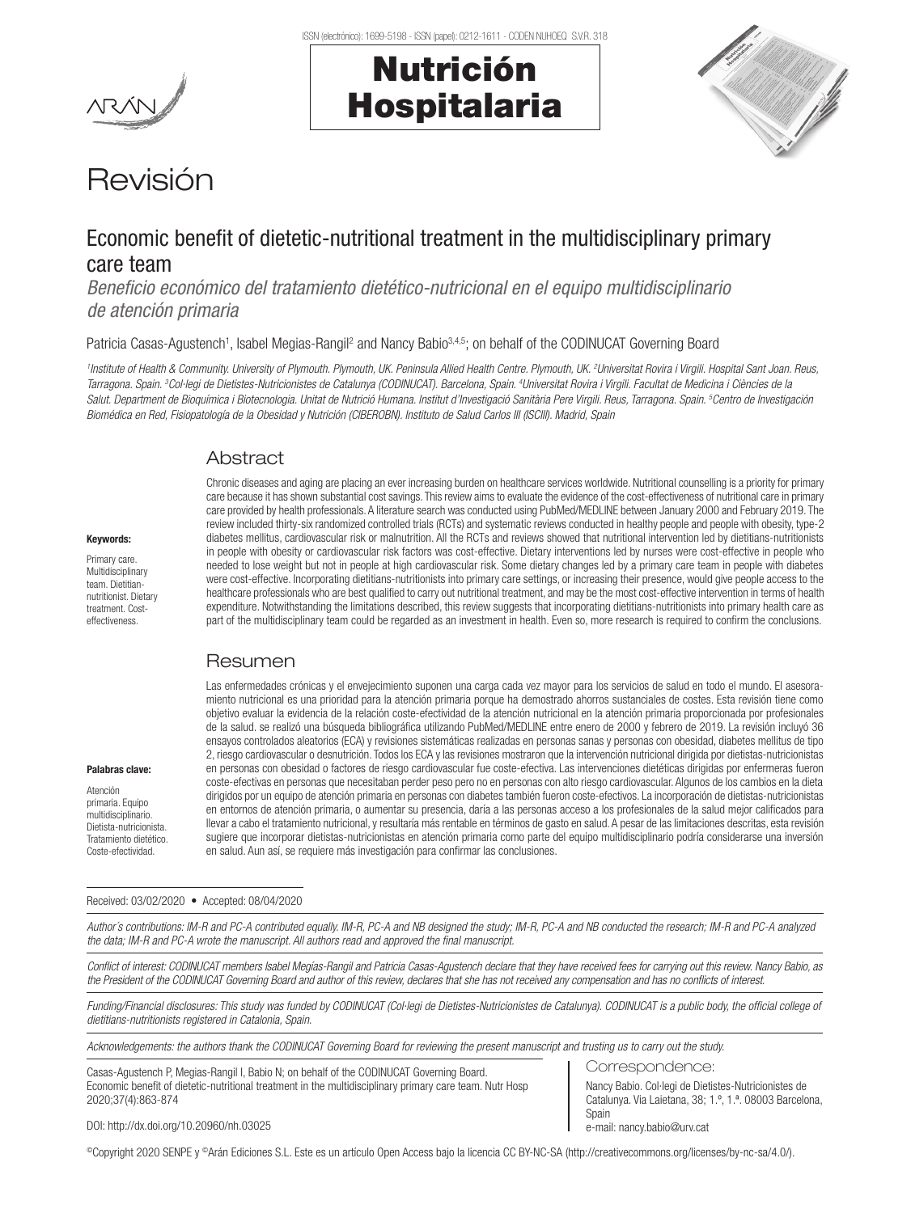# Nutrición Hospitalaria



# Revisión

# Economic benefit of dietetic-nutritional treatment in the multidisciplinary primary care team

*Beneficio económico del tratamiento dietético-nutricional en el equipo multidisciplinario de atención primaria*

Patricia Casas-Agustench<sup>1</sup>, Isabel Megias-Rangil<sup>2</sup> and Nancy Babio<sup>3,4,5</sup>; on behalf of the CODINUCAT Governing Board

*1 Institute of Health & Community. University of Plymouth. Plymouth, UK. Peninsula Allied Health Centre. Plymouth, UK. 2 Universitat Rovira i Virgili. Hospital Sant Joan. Reus,*  Tarragona. Spain. <sup>3</sup>Col·legi de Dietistes-Nutricionistes de Catalunya (CODINUCAT). Barcelona, Spain. <sup>4</sup>Universitat Rovira i Virgili. Facultat de Medicina i Ciències de la *Salut. Department de Bioquímica i Biotecnologia. Unitat de Nutrició Humana. Institut d'Investigació Sanitària Pere Virgili. Reus, Tarragona. Spain. 5 Centro de Investigación Biomédica en Red, Fisiopatología de la Obesidad y Nutrición (CIBEROBN). Instituto de Salud Carlos III (ISCIII). Madrid, Spain* 

# **Abstract**

#### Keywords:

Primary care. Multidisciplinary team. Dietitiannutritionist. Dietary treatment. Costeffectiveness.

Chronic diseases and aging are placing an ever increasing burden on healthcare services worldwide. Nutritional counselling is a priority for primary care because it has shown substantial cost savings. This review aims to evaluate the evidence of the cost-effectiveness of nutritional care in primary care provided by health professionals. A literature search was conducted using PubMed/MEDLINE between January 2000 and February 2019. The review included thirty-six randomized controlled trials (RCTs) and systematic reviews conducted in healthy people and people with obesity, type-2 diabetes mellitus, cardiovascular risk or malnutrition. All the RCTs and reviews showed that nutritional intervention led by dietitians-nutritionists in people with obesity or cardiovascular risk factors was cost-effective. Dietary interventions led by nurses were cost-effective in people who needed to lose weight but not in people at high cardiovascular risk. Some dietary changes led by a primary care team in people with diabetes were cost-effective. Incorporating dietitians-nutritionists into primary care settings, or increasing their presence, would give people access to the healthcare professionals who are best qualified to carry out nutritional treatment, and may be the most cost-effective intervention in terms of health expenditure. Notwithstanding the limitations described, this review suggests that incorporating dietitians-nutritionists into primary health care as part of the multidisciplinary team could be regarded as an investment in health. Even so, more research is required to confirm the conclusions.

# Resumen

Palabras clave:

Atención primaria. Equipo multidisciplinario. Dietista-nutricionista. Tratamiento dietético. Coste-efectividad.

miento nutricional es una prioridad para la atención primaria porque ha demostrado ahorros sustanciales de costes. Esta revisión tiene como objetivo evaluar la evidencia de la relación coste-efectividad de la atención nutricional en la atención primaria proporcionada por profesionales de la salud. se realizó una búsqueda bibliográfica utilizando PubMed/MEDLINE entre enero de 2000 y febrero de 2019. La revisión incluyó 36 ensayos controlados aleatorios (ECA) y revisiones sistemáticas realizadas en personas sanas y personas con obesidad, diabetes mellitus de tipo 2, riesgo cardiovascular o desnutrición. Todos los ECA y las revisiones mostraron que la intervención nutricional dirigida por dietistas-nutricionistas en personas con obesidad o factores de riesgo cardiovascular fue coste-efectiva. Las intervenciones dietéticas dirigidas por enfermeras fueron coste-efectivas en personas que necesitaban perder peso pero no en personas con alto riesgo cardiovascular. Algunos de los cambios en la dieta dirigidos por un equipo de atención primaria en personas con diabetes también fueron coste-efectivos. La incorporación de dietistas-nutricionistas en entornos de atención primaria, o aumentar su presencia, daría a las personas acceso a los profesionales de la salud mejor calificados para llevar a cabo el tratamiento nutricional, y resultaría más rentable en términos de gasto en salud. A pesar de las limitaciones descritas, esta revisión sugiere que incorporar dietistas-nutricionistas en atención primaria como parte del equipo multidisciplinario podría considerarse una inversión en salud. Aun así, se requiere más investigación para confirmar las conclusiones.

Las enfermedades crónicas y el envejecimiento suponen una carga cada vez mayor para los servicios de salud en todo el mundo. El asesora-

#### Received: 03/02/2020 • Accepted: 08/04/2020

*Author´s contributions: IM-R and PC-A contributed equally. IM-R, PC-A and NB designed the study; IM-R, PC-A and NB conducted the research; IM-R and PC-A analyzed the data; IM-R and PC-A wrote the manuscript. All authors read and approved the final manuscript.*

*Conflict of interest: CODINUCAT members Isabel Megías-Rangil and Patricia Casas-Agustench declare that they have received fees for carrying out this review. Nancy Babio, as the President of the CODINUCAT Governing Board and author of this review, declares that she has not received any compensation and has no conflicts of interest.*

Funding/Financial disclosures: This study was funded by CODINUCAT (Col·legi de Dietistes-Nutricionistes de Catalunya). CODINUCAT is a public body, the official college of *dietitians-nutritionists registered in Catalonia, Spain.*

*Acknowledgements: the authors thank the CODINUCAT Governing Board for reviewing the present manuscript and trusting us to carry out the study.*

Casas-Agustench P, Megias-Rangil I, Babio N; on behalf of the CODINUCAT Governing Board. Economic benefit of dietetic-nutritional treatment in the multidisciplinary primary care team. Nutr Hosp 2020;37(4):863-874

Correspondence: Nancy Babio. Col·legi de Dietistes-Nutricionistes de Catalunya. Via Laietana, 38; 1.º, 1.ª. 08003 Barcelona, Spain e-mail: nancy.babio@urv.cat

DOI: http://dx.doi.org/10.20960/nh.03025

©Copyright 2020 SENPE y ©Arán Ediciones S.L. Este es un artículo Open Access bajo la licencia CC BY-NC-SA (http://creativecommons.org/licenses/by-nc-sa/4.0/).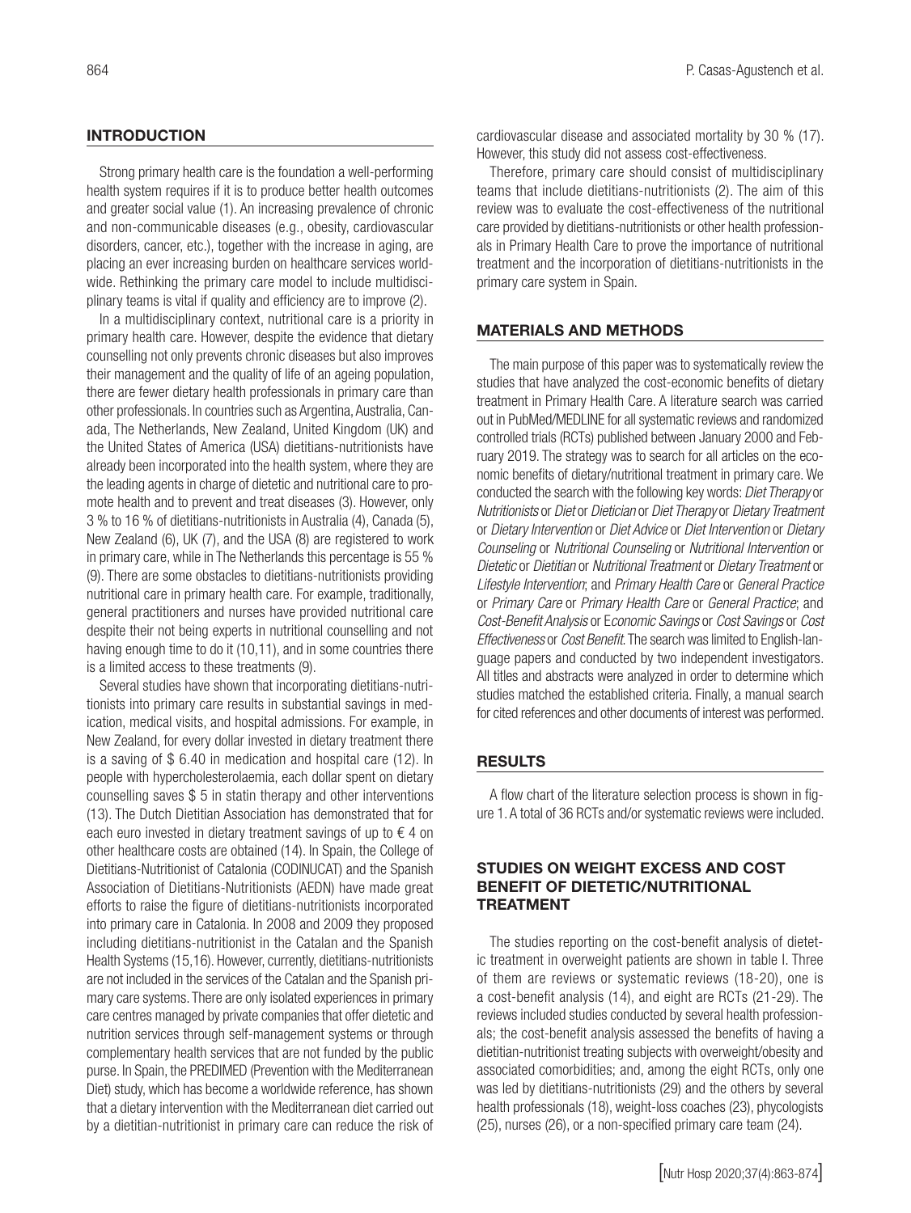## **INTRODUCTION**

Strong primary health care is the foundation a well-performing health system requires if it is to produce better health outcomes and greater social value (1). An increasing prevalence of chronic and non-communicable diseases (e.g., obesity, cardiovascular disorders, cancer, etc.), together with the increase in aging, are placing an ever increasing burden on healthcare services worldwide. Rethinking the primary care model to include multidisciplinary teams is vital if quality and efficiency are to improve (2).

In a multidisciplinary context, nutritional care is a priority in primary health care. However, despite the evidence that dietary counselling not only prevents chronic diseases but also improves their management and the quality of life of an ageing population, there are fewer dietary health professionals in primary care than other professionals. In countries such as Argentina, Australia, Canada, The Netherlands, New Zealand, United Kingdom (UK) and the United States of America (USA) dietitians-nutritionists have already been incorporated into the health system, where they are the leading agents in charge of dietetic and nutritional care to promote health and to prevent and treat diseases (3). However, only 3 % to 16 % of dietitians-nutritionists in Australia (4), Canada (5), New Zealand (6), UK (7), and the USA (8) are registered to work in primary care, while in The Netherlands this percentage is 55 % (9). There are some obstacles to dietitians-nutritionists providing nutritional care in primary health care. For example, traditionally, general practitioners and nurses have provided nutritional care despite their not being experts in nutritional counselling and not having enough time to do it (10,11), and in some countries there is a limited access to these treatments (9).

Several studies have shown that incorporating dietitians-nutritionists into primary care results in substantial savings in medication, medical visits, and hospital admissions. For example, in New Zealand, for every dollar invested in dietary treatment there is a saving of \$ 6.40 in medication and hospital care (12). In people with hypercholesterolaemia, each dollar spent on dietary counselling saves \$ 5 in statin therapy and other interventions (13). The Dutch Dietitian Association has demonstrated that for each euro invested in dietary treatment savings of up to  $\epsilon$  4 on other healthcare costs are obtained (14). In Spain, the College of Dietitians-Nutritionist of Catalonia (CODINUCAT) and the Spanish Association of Dietitians-Nutritionists (AEDN) have made great efforts to raise the figure of dietitians-nutritionists incorporated into primary care in Catalonia. In 2008 and 2009 they proposed including dietitians-nutritionist in the Catalan and the Spanish Health Systems (15,16). However, currently, dietitians-nutritionists are not included in the services of the Catalan and the Spanish primary care systems. There are only isolated experiences in primary care centres managed by private companies that offer dietetic and nutrition services through self-management systems or through complementary health services that are not funded by the public purse. In Spain, the PREDIMED (Prevention with the Mediterranean Diet) study, which has become a worldwide reference, has shown that a dietary intervention with the Mediterranean diet carried out by a dietitian-nutritionist in primary care can reduce the risk of

cardiovascular disease and associated mortality by 30 % (17). However, this study did not assess cost-effectiveness.

Therefore, primary care should consist of multidisciplinary teams that include dietitians-nutritionists (2). The aim of this review was to evaluate the cost-effectiveness of the nutritional care provided by dietitians-nutritionists or other health professionals in Primary Health Care to prove the importance of nutritional treatment and the incorporation of dietitians-nutritionists in the primary care system in Spain.

#### MATERIALS AND METHODS

The main purpose of this paper was to systematically review the studies that have analyzed the cost-economic benefits of dietary treatment in Primary Health Care. A literature search was carried out in PubMed/MEDLINE for all systematic reviews and randomized controlled trials (RCTs) published between January 2000 and February 2019. The strategy was to search for all articles on the economic benefits of dietary/nutritional treatment in primary care. We conducted the search with the following key words: *Diet Therapy* or *Nutritionists* or *Diet* or *Dietician* or *Diet Therapy* or *Dietary Treatment*  or *Dietary Intervention* or *Diet Advice* or *Diet Intervention* or *Dietary Counseling* or *Nutritional Counseling* or *Nutritional Intervention* or *Dietetic* or *Dietitian* or *Nutritional Treatment* or *Dietary Treatment* or *Lifestyle Intervention*; and *Primary Health Care* or *General Practice* or *Primary Care* or *Primary Health Care* or *General Practice*; and *Cost-Benefit Analysis* or E*conomic Savings* or *Cost Savings* or *Cost Effectiveness* or *Cost Benefit*. The search was limited to English-language papers and conducted by two independent investigators. All titles and abstracts were analyzed in order to determine which studies matched the established criteria. Finally, a manual search for cited references and other documents of interest was performed.

#### RESULTS

A flow chart of the literature selection process is shown in figure 1. A total of 36 RCTs and/or systematic reviews were included.

## STUDIES ON WEIGHT EXCESS AND COST BENEFIT OF DIETETIC/NUTRITIONAL TREATMENT

The studies reporting on the cost-benefit analysis of dietetic treatment in overweight patients are shown in table I. Three of them are reviews or systematic reviews (18-20), one is a cost-benefit analysis (14), and eight are RCTs (21-29). The reviews included studies conducted by several health professionals; the cost-benefit analysis assessed the benefits of having a dietitian-nutritionist treating subjects with overweight/obesity and associated comorbidities; and, among the eight RCTs, only one was led by dietitians-nutritionists (29) and the others by several health professionals (18), weight-loss coaches (23), phycologists (25), nurses (26), or a non-specified primary care team (24).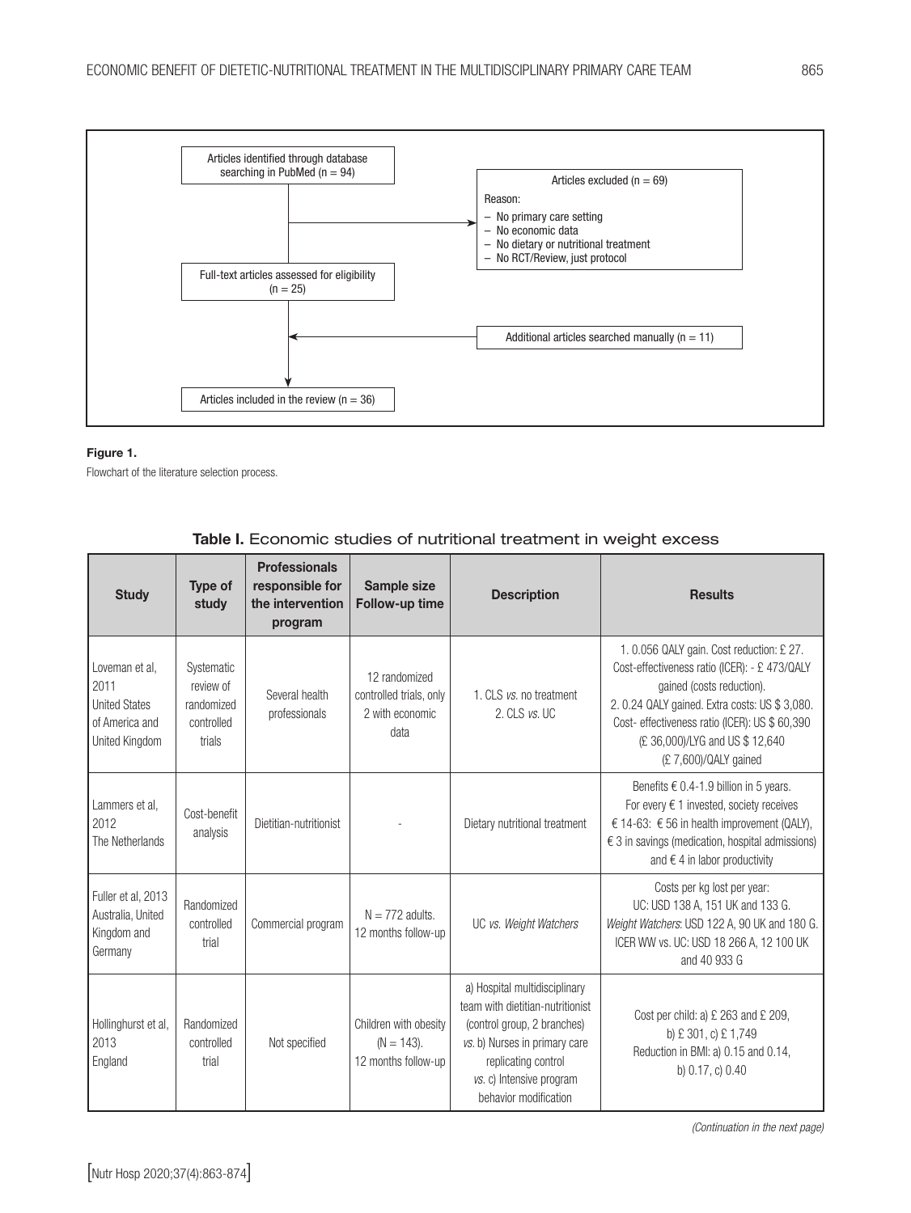

### Figure 1.

Flowchart of the literature selection process.

| <b>Study</b>                                                                       | Type of<br>study                                              | <b>Professionals</b><br>responsible for<br>the intervention<br>program | Sample size<br>Follow-up time                                       | <b>Description</b>                                                                                                                                                                                            | <b>Results</b>                                                                                                                                                                                                                                                                    |
|------------------------------------------------------------------------------------|---------------------------------------------------------------|------------------------------------------------------------------------|---------------------------------------------------------------------|---------------------------------------------------------------------------------------------------------------------------------------------------------------------------------------------------------------|-----------------------------------------------------------------------------------------------------------------------------------------------------------------------------------------------------------------------------------------------------------------------------------|
| Loveman et al,<br>2011<br><b>United States</b><br>of America and<br>United Kingdom | Systematic<br>review of<br>randomized<br>controlled<br>trials | Several health<br>professionals                                        | 12 randomized<br>controlled trials, only<br>2 with economic<br>data | 1. CLS vs. no treatment<br>2. CLS vs. UC                                                                                                                                                                      | 1.0.056 QALY gain. Cost reduction: £27.<br>Cost-effectiveness ratio (ICER): - £ 473/QALY<br>gained (costs reduction).<br>2.0.24 QALY gained. Extra costs: US \$ 3,080.<br>Cost- effectiveness ratio (ICER): US \$ 60,390<br>(£36,000)/LYG and US \$12,640<br>(£7,600)/QALY gained |
| Lammers et al.<br>2012<br>The Netherlands                                          | Cost-benefit<br>analysis                                      | Dietitian-nutritionist                                                 |                                                                     | Dietary nutritional treatment                                                                                                                                                                                 | Benefits $\epsilon$ 0.4-1.9 billion in 5 years.<br>For every $\epsilon$ 1 invested, society receives<br>€ 14-63: € 56 in health improvement (QALY),<br>€ 3 in savings (medication, hospital admissions)<br>and $\epsilon$ 4 in labor productivity                                 |
| Fuller et al, 2013<br>Australia, United<br>Kingdom and<br>Germany                  | Randomized<br>controlled<br>trial                             | Commercial program                                                     | $N = 772$ adults.<br>12 months follow-up                            | UC vs. Weight Watchers                                                                                                                                                                                        | Costs per kg lost per year:<br>UC: USD 138 A, 151 UK and 133 G.<br>Weight Watchers: USD 122 A, 90 UK and 180 G.<br>ICER WW vs. UC: USD 18 266 A, 12 100 UK<br>and 40 933 G                                                                                                        |
| Hollinghurst et al,<br>2013<br>England                                             | Randomized<br>controlled<br>trial                             | Not specified                                                          | Children with obesity<br>$(N = 143)$ .<br>12 months follow-up       | a) Hospital multidisciplinary<br>team with dietitian-nutritionist<br>(control group, 2 branches)<br>vs. b) Nurses in primary care<br>replicating control<br>vs. c) Intensive program<br>behavior modification | Cost per child: a) $£$ 263 and $£$ 209,<br>b) £ 301, c) £ 1,749<br>Reduction in BMI: a) 0.15 and 0.14,<br>b) 0.17, c) 0.40                                                                                                                                                        |

*(Continuation in the next page)*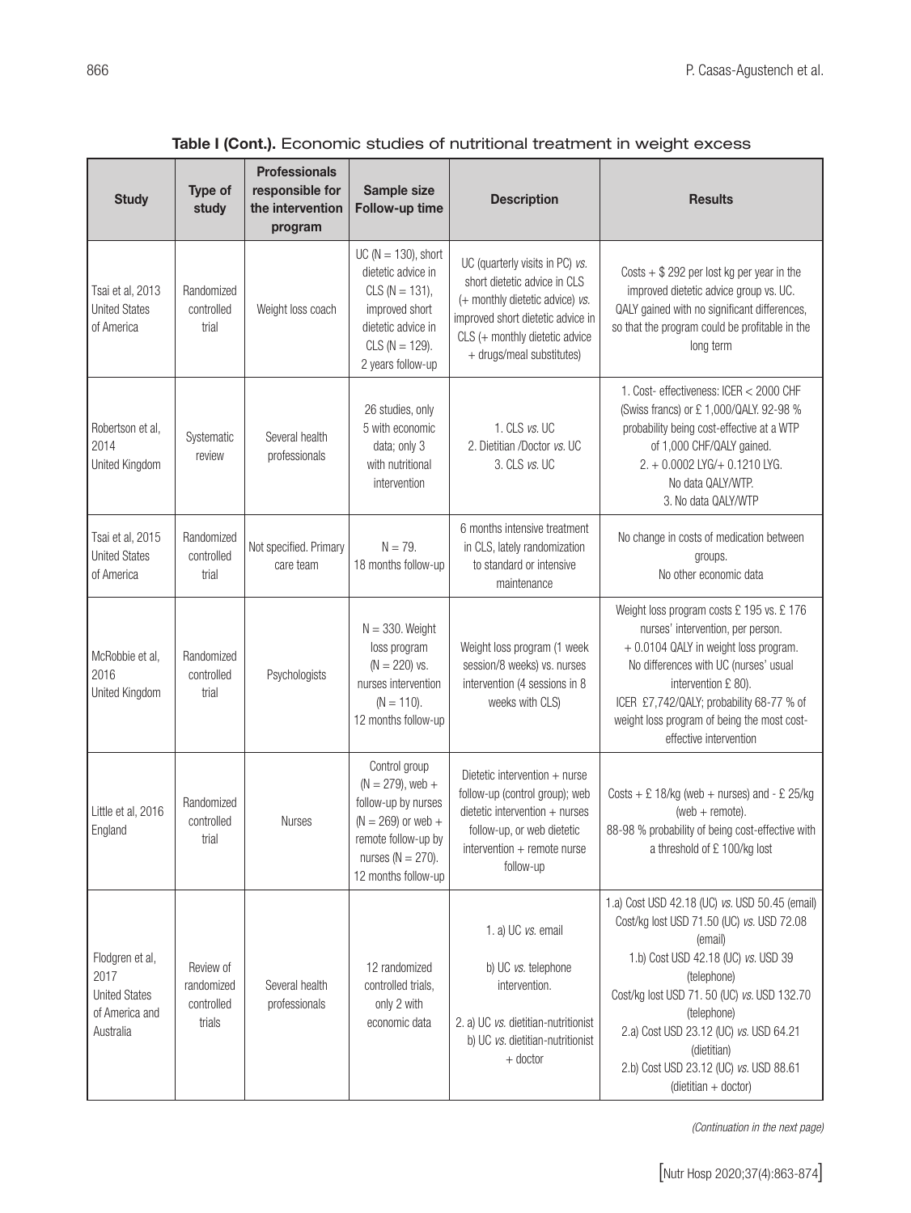| <b>Study</b>                                                                   | Type of<br>study                                | <b>Professionals</b><br>responsible for<br>the intervention<br>program | Sample size<br>Follow-up time                                                                                                                              | <b>Description</b>                                                                                                                                                                                     | <b>Results</b>                                                                                                                                                                                                                                                                                                                                         |
|--------------------------------------------------------------------------------|-------------------------------------------------|------------------------------------------------------------------------|------------------------------------------------------------------------------------------------------------------------------------------------------------|--------------------------------------------------------------------------------------------------------------------------------------------------------------------------------------------------------|--------------------------------------------------------------------------------------------------------------------------------------------------------------------------------------------------------------------------------------------------------------------------------------------------------------------------------------------------------|
| Tsai et al, 2013<br><b>United States</b><br>of America                         | Randomized<br>controlled<br>trial               | Weight loss coach                                                      | $UC (N = 130)$ , short<br>dietetic advice in<br>$CLS (N = 131),$<br>improved short<br>dietetic advice in<br>$CLS (N = 129).$<br>2 years follow-up          | UC (quarterly visits in PC) vs.<br>short dietetic advice in CLS<br>(+ monthly dietetic advice) vs.<br>improved short dietetic advice in<br>CLS (+ monthly dietetic advice<br>+ drugs/meal substitutes) | Costs $+$ \$ 292 per lost kg per year in the<br>improved dietetic advice group vs. UC.<br>QALY gained with no significant differences,<br>so that the program could be profitable in the<br>long term                                                                                                                                                  |
| Robertson et al,<br>2014<br>United Kingdom                                     | Systematic<br>review                            | Several health<br>professionals                                        | 26 studies, only<br>5 with economic<br>data; only 3<br>with nutritional<br>intervention                                                                    | 1. CLS vs. UC<br>2. Dietitian /Doctor vs. UC<br>3. CLS vs. UC                                                                                                                                          | 1. Cost- effectiveness: ICER < 2000 CHF<br>(Swiss francs) or £ 1,000/QALY. 92-98 %<br>probability being cost-effective at a WTP<br>of 1,000 CHF/QALY gained.<br>2. + 0.0002 LYG/+ 0.1210 LYG.<br>No data QALY/WTP.<br>3. No data QALY/WTP                                                                                                              |
| Tsai et al, 2015<br><b>United States</b><br>of America                         | Randomized<br>controlled<br>trial               | Not specified. Primary<br>care team                                    | $N = 79.$<br>18 months follow-up                                                                                                                           | 6 months intensive treatment<br>in CLS, lately randomization<br>to standard or intensive<br>maintenance                                                                                                | No change in costs of medication between<br>groups.<br>No other economic data                                                                                                                                                                                                                                                                          |
| McRobbie et al,<br>2016<br>United Kingdom                                      | Randomized<br>controlled<br>trial               | Psychologists                                                          | $N = 330$ . Weight<br>loss program<br>$(N = 220)$ vs.<br>nurses intervention<br>$(N = 110)$ .<br>12 months follow-up                                       | Weight loss program (1 week<br>session/8 weeks) vs. nurses<br>intervention (4 sessions in 8<br>weeks with CLS)                                                                                         | Weight loss program costs £ 195 vs. £ 176<br>nurses' intervention, per person.<br>+ 0.0104 QALY in weight loss program.<br>No differences with UC (nurses' usual<br>intervention £80).<br>ICER £7,742/QALY; probability 68-77 % of<br>weight loss program of being the most cost-<br>effective intervention                                            |
| Little et al, 2016<br>England                                                  | Randomized<br>controlled<br>trial               | <b>Nurses</b>                                                          | Control group<br>$(N = 279)$ , web +<br>follow-up by nurses<br>$(N = 269)$ or web +<br>remote follow-up by<br>nurses ( $N = 270$ ).<br>12 months follow-up | Dietetic intervention $+$ nurse<br>follow-up (control group); web<br>dietetic intervention $+$ nurses<br>follow-up, or web dietetic<br>$intervention + remote nurse$<br>follow-up                      | Costs + $£$ 18/kg (web + nurses) and - $£$ 25/kg<br>(web $+$ remote).<br>88-98 % probability of being cost-effective with<br>a threshold of £100/kg lost                                                                                                                                                                                               |
| Flodgren et al,<br>2017<br><b>United States</b><br>of America and<br>Australia | Review of<br>randomized<br>controlled<br>trials | Several health<br>professionals                                        | 12 randomized<br>controlled trials,<br>only 2 with<br>economic data                                                                                        | 1. a) UC vs. email<br>b) UC vs. telephone<br>intervention.<br>2. a) UC vs. dietitian-nutritionist<br>b) UC vs. dietitian-nutritionist<br>$+$ doctor                                                    | 1.a) Cost USD 42.18 (UC) vs. USD 50.45 (email)<br>Cost/kg lost USD 71.50 (UC) vs. USD 72.08<br>(email)<br>1.b) Cost USD 42.18 (UC) vs. USD 39<br>(telephone)<br>Cost/kg lost USD 71.50 (UC) vs. USD 132.70<br>(telephone)<br>2.a) Cost USD 23.12 (UC) vs. USD 64.21<br>(dietitian)<br>2.b) Cost USD 23.12 (UC) vs. USD 88.61<br>$(dietitian + doctor)$ |

# Table I (Cont.). Economic studies of nutritional treatment in weight excess

*(Continuation in the next page)*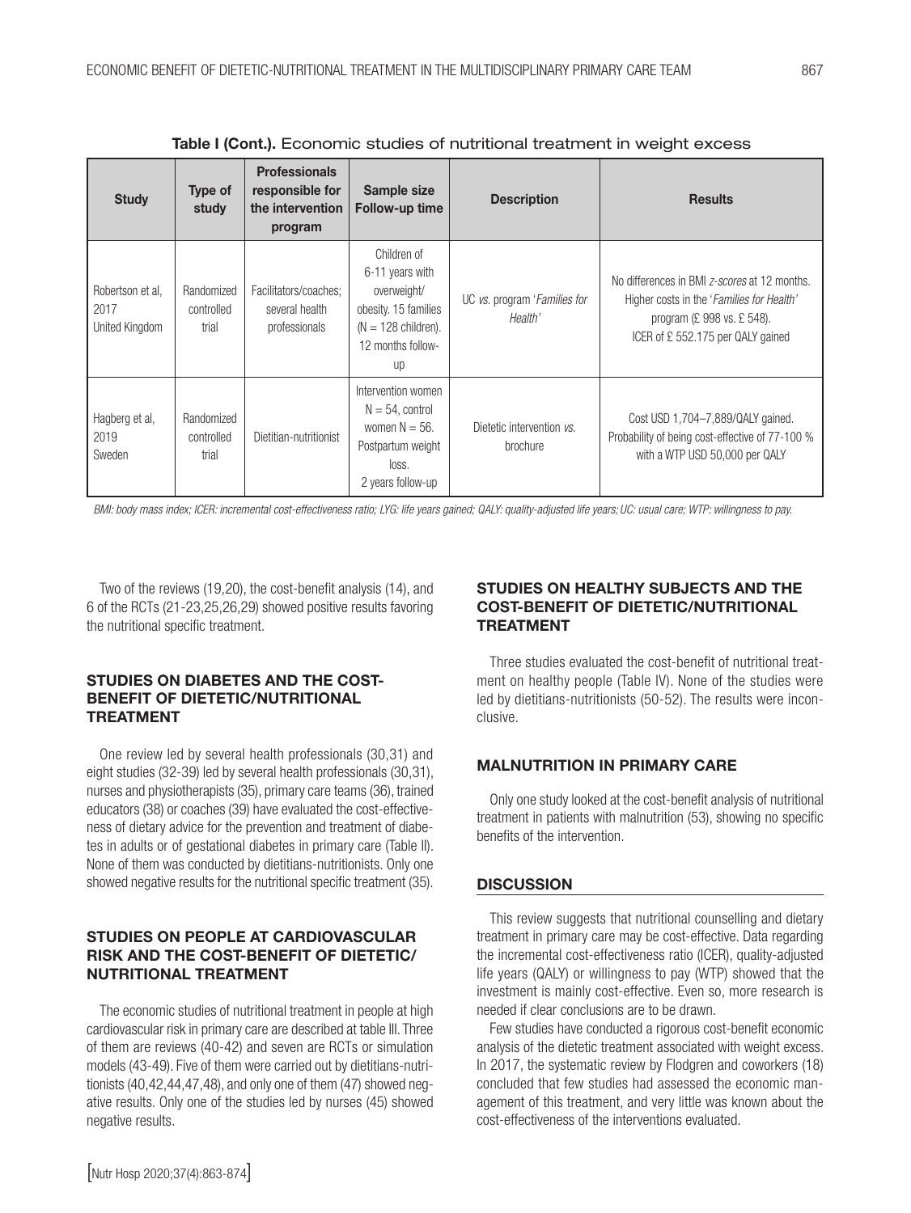| <b>Study</b>                               | <b>Type of</b><br>study           | <b>Professionals</b><br>responsible for<br>the intervention<br>program | Sample size<br>Follow-up time                                                                                             | <b>Description</b>                      | <b>Results</b>                                                                                                                                               |  |
|--------------------------------------------|-----------------------------------|------------------------------------------------------------------------|---------------------------------------------------------------------------------------------------------------------------|-----------------------------------------|--------------------------------------------------------------------------------------------------------------------------------------------------------------|--|
| Robertson et al,<br>2017<br>United Kingdom | Randomized<br>controlled<br>trial | Facilitators/coaches;<br>several health<br>professionals               | Children of<br>6-11 years with<br>overweight/<br>obesity. 15 families<br>$(N = 128$ children).<br>12 months follow-<br>up | UC vs. program 'Families for<br>Health' | No differences in BMI z-scores at 12 months.<br>Higher costs in the 'Families for Health'<br>program (£ 998 vs. £ 548).<br>ICER of £ 552.175 per QALY gained |  |
| Hagberg et al,<br>2019<br>Sweden           | Randomized<br>controlled<br>trial | Dietitian-nutritionist                                                 | Intervention women<br>$N = 54$ , control<br>women $N = 56$ .<br>Postpartum weight<br>loss.<br>2 years follow-up           | Dietetic intervention vs.<br>brochure   | Cost USD 1,704-7,889/QALY gained.<br>Probability of being cost-effective of 77-100 %<br>with a WTP USD 50,000 per QALY                                       |  |

Table I (Cont.). Economic studies of nutritional treatment in weight excess

*BMI: body mass index; ICER: incremental cost-effectiveness ratio; LYG: life years gained; QALY: quality-adjusted life years; UC: usual care; WTP: willingness to pay.* 

Two of the reviews (19,20), the cost-benefit analysis (14), and 6 of the RCTs (21-23,25,26,29) showed positive results favoring the nutritional specific treatment.

## STUDIES ON DIABETES AND THE COST-BENEFIT OF DIETETIC/NUTRITIONAL TREATMENT

One review led by several health professionals (30,31) and eight studies (32-39) led by several health professionals (30,31), nurses and physiotherapists (35), primary care teams (36), trained educators (38) or coaches (39) have evaluated the cost-effectiveness of dietary advice for the prevention and treatment of diabetes in adults or of gestational diabetes in primary care (Table II). None of them was conducted by dietitians-nutritionists. Only one showed negative results for the nutritional specific treatment (35).

# STUDIES ON PEOPLE AT CARDIOVASCULAR RISK AND THE COST-BENEFIT OF DIETETIC/ NUTRITIONAL TREATMENT

The economic studies of nutritional treatment in people at high cardiovascular risk in primary care are described at table III. Three of them are reviews (40-42) and seven are RCTs or simulation models (43-49). Five of them were carried out by dietitians-nutritionists (40,42,44,47,48), and only one of them (47) showed negative results. Only one of the studies led by nurses (45) showed negative results.

## STUDIES ON HEALTHY SUBJECTS AND THE COST-BENEFIT OF DIETETIC/NUTRITIONAL TREATMENT

Three studies evaluated the cost-benefit of nutritional treatment on healthy people (Table IV). None of the studies were led by dietitians-nutritionists (50-52). The results were inconclusive.

# MALNUTRITION IN PRIMARY CARE

Only one study looked at the cost-benefit analysis of nutritional treatment in patients with malnutrition (53), showing no specific benefits of the intervention.

# **DISCUSSION**

This review suggests that nutritional counselling and dietary treatment in primary care may be cost-effective. Data regarding the incremental cost-effectiveness ratio (ICER), quality-adjusted life years (QALY) or willingness to pay (WTP) showed that the investment is mainly cost-effective. Even so, more research is needed if clear conclusions are to be drawn.

Few studies have conducted a rigorous cost-benefit economic analysis of the dietetic treatment associated with weight excess. In 2017, the systematic review by Flodgren and coworkers (18) concluded that few studies had assessed the economic management of this treatment, and very little was known about the cost-effectiveness of the interventions evaluated.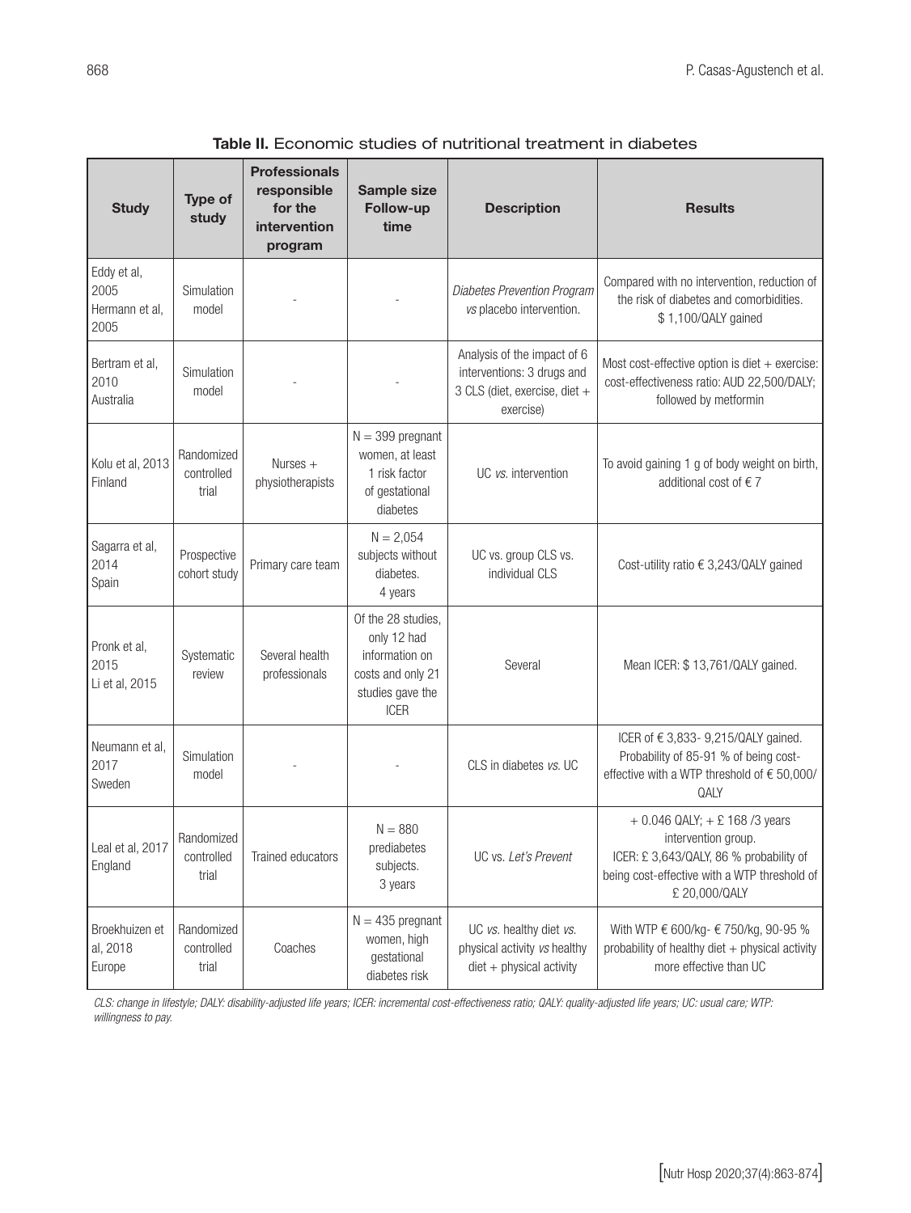| <b>Study</b>                                  | <b>Type of</b><br>study           | <b>Professionals</b><br>responsible<br>for the<br>intervention<br>program | Sample size<br>Follow-up<br>time                                                                            | <b>Description</b>                                                                                      | <b>Results</b>                                                                                                                                                                     |
|-----------------------------------------------|-----------------------------------|---------------------------------------------------------------------------|-------------------------------------------------------------------------------------------------------------|---------------------------------------------------------------------------------------------------------|------------------------------------------------------------------------------------------------------------------------------------------------------------------------------------|
| Eddy et al,<br>2005<br>Hermann et al,<br>2005 | Simulation<br>model               |                                                                           |                                                                                                             | <b>Diabetes Prevention Program</b><br>vs placebo intervention.                                          | Compared with no intervention, reduction of<br>the risk of diabetes and comorbidities.<br>\$1,100/QALY gained                                                                      |
| Bertram et al,<br>2010<br>Australia           | Simulation<br>model               |                                                                           |                                                                                                             | Analysis of the impact of 6<br>interventions: 3 drugs and<br>3 CLS (diet, exercise, diet +<br>exercise) | Most cost-effective option is diet $+$ exercise:<br>cost-effectiveness ratio: AUD 22,500/DALY;<br>followed by metformin                                                            |
| Kolu et al, 2013<br>Finland                   | Randomized<br>controlled<br>trial | Nurses $+$<br>physiotherapists                                            | $N = 399$ pregnant<br>women, at least<br>1 risk factor<br>of gestational<br>diabetes                        | UC vs. intervention                                                                                     | To avoid gaining 1 g of body weight on birth,<br>additional cost of $\epsilon$ 7                                                                                                   |
| Sagarra et al,<br>2014<br>Spain               | Prospective<br>cohort study       | Primary care team                                                         | $N = 2,054$<br>subjects without<br>diabetes.<br>4 years                                                     | UC vs. group CLS vs.<br>individual CLS                                                                  | Cost-utility ratio $\epsilon$ 3,243/QALY gained                                                                                                                                    |
| Pronk et al,<br>2015<br>Li et al, 2015        | Systematic<br>review              | Several health<br>professionals                                           | Of the 28 studies,<br>only 12 had<br>information on<br>costs and only 21<br>studies gave the<br><b>ICER</b> | Several                                                                                                 | Mean ICER: \$13,761/QALY gained.                                                                                                                                                   |
| Neumann et al,<br>2017<br>Sweden              | Simulation<br>model               |                                                                           |                                                                                                             | CLS in diabetes vs. UC                                                                                  | ICER of €3,833-9,215/QALY gained.<br>Probability of 85-91 % of being cost-<br>effective with a WTP threshold of $\epsilon$ 50,000/<br>QALY                                         |
| Leal et al, 2017   Randomized<br>England      | controlled<br>trial               | Trained educators                                                         | $N = 880$<br>prediabetes<br>subjects.<br>3 years                                                            | UC vs. Let's Prevent                                                                                    | $+ 0.046$ QALY; $+ \text{\pounds}$ 168 /3 years<br>intervention group.<br>ICER: £ 3,643/QALY, 86 % probability of<br>being cost-effective with a WTP threshold of<br>£ 20,000/QALY |
| Broekhuizen et<br>al, 2018<br>Europe          | Randomized<br>controlled<br>trial | Coaches                                                                   | $N = 435$ pregnant<br>women, high<br>gestational<br>diabetes risk                                           | UC vs. healthy diet vs.<br>physical activity vs healthy<br>$\text{dist} + \text{physical activity}$     | With WTP € 600/kg- € 750/kg, 90-95 %<br>probability of healthy diet + physical activity<br>more effective than UC                                                                  |

Table II. Economic studies of nutritional treatment in diabetes

*CLS: change in lifestyle; DALY: disability-adjusted life years; ICER: incremental cost-effectiveness ratio; QALY: quality-adjusted life years; UC: usual care; WTP: willingness to pay.*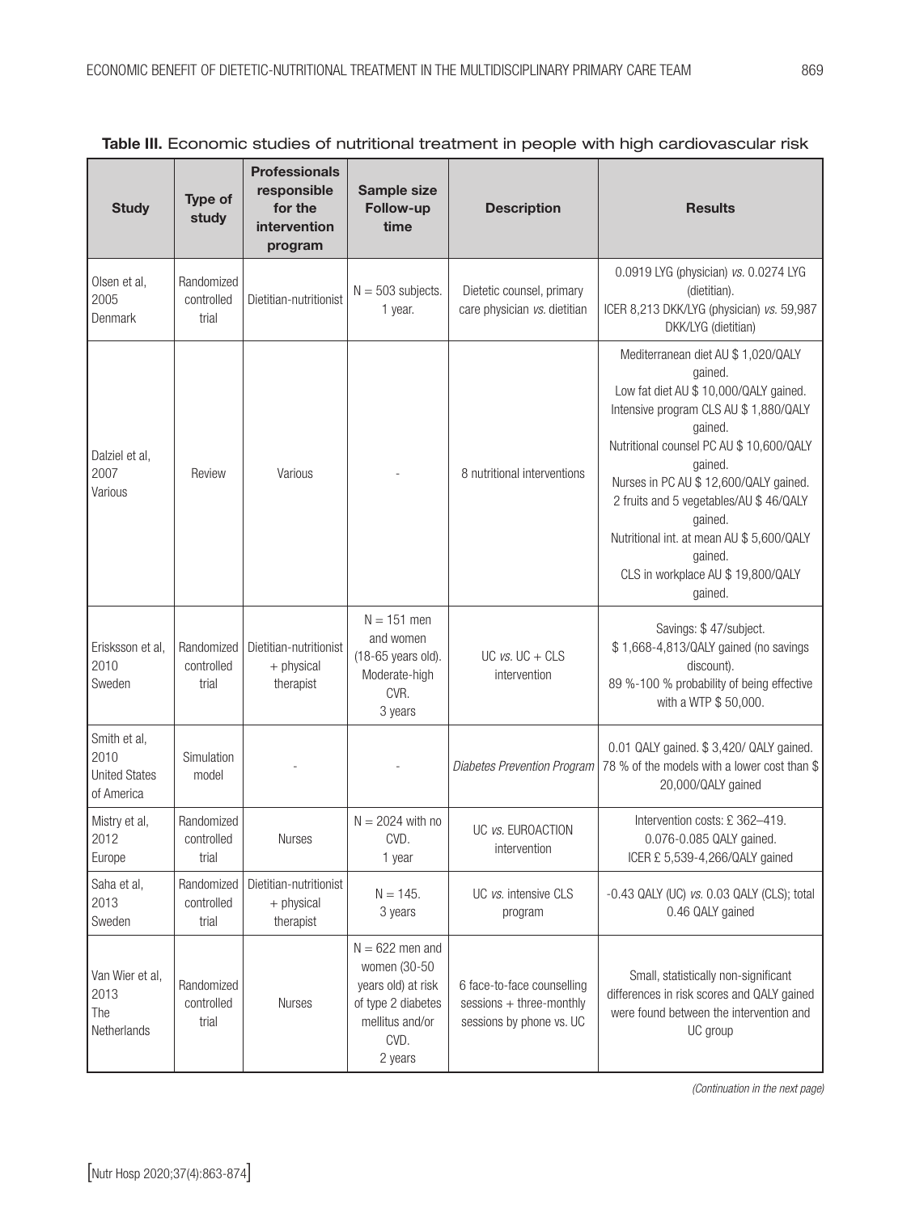| <b>Study</b>                                               | Type of<br>study                  | <b>Professionals</b><br>responsible<br>for the<br>intervention<br>program | Sample size<br>Follow-up<br>time                                                                                    | <b>Description</b>                                                                 | <b>Results</b>                                                                                                                                                                                                                                                                                                                                                                                                |  |
|------------------------------------------------------------|-----------------------------------|---------------------------------------------------------------------------|---------------------------------------------------------------------------------------------------------------------|------------------------------------------------------------------------------------|---------------------------------------------------------------------------------------------------------------------------------------------------------------------------------------------------------------------------------------------------------------------------------------------------------------------------------------------------------------------------------------------------------------|--|
| Olsen et al,<br>2005<br>Denmark                            | Randomized<br>controlled<br>trial | Dietitian-nutritionist                                                    | $N = 503$ subjects.<br>1 year.                                                                                      | Dietetic counsel, primary<br>care physician vs. dietitian                          | 0.0919 LYG (physician) vs. 0.0274 LYG<br>(dietitian).<br>ICER 8,213 DKK/LYG (physician) vs. 59,987<br>DKK/LYG (dietitian)                                                                                                                                                                                                                                                                                     |  |
| Dalziel et al,<br>2007<br>Various                          | Review                            | Various                                                                   |                                                                                                                     | 8 nutritional interventions                                                        | Mediterranean diet AU \$ 1,020/QALY<br>gained.<br>Low fat diet AU \$ 10,000/QALY gained.<br>Intensive program CLS AU \$ 1,880/QALY<br>gained.<br>Nutritional counsel PC AU \$ 10,600/QALY<br>gained.<br>Nurses in PC AU \$ 12,600/QALY gained.<br>2 fruits and 5 vegetables/AU \$ 46/QALY<br>gained.<br>Nutritional int. at mean AU \$ 5,600/QALY<br>gained.<br>CLS in workplace AU \$ 19,800/QALY<br>gained. |  |
| Erisksson et al,<br>2010<br>Sweden                         | Randomized<br>controlled<br>trial | Dietitian-nutritionist<br>+ physical<br>therapist                         | $N = 151$ men<br>and women<br>(18-65 years old).<br>Moderate-high<br>CVR.<br>3 years                                | UC $vs.$ UC $+$ CLS<br>intervention                                                | Savings: \$47/subject.<br>\$1,668-4,813/QALY gained (no savings<br>discount).<br>89 %-100 % probability of being effective<br>with a WTP \$ 50,000.                                                                                                                                                                                                                                                           |  |
| Smith et al,<br>2010<br><b>United States</b><br>of America | Simulation<br>model               |                                                                           |                                                                                                                     | <b>Diabetes Prevention Program</b>                                                 | 0.01 QALY gained. \$3,420/ QALY gained.<br>78 % of the models with a lower cost than \$<br>20,000/QALY gained                                                                                                                                                                                                                                                                                                 |  |
| Mistry et al,<br>2012<br>Europe                            | Randomized<br>controlled<br>trial | <b>Nurses</b>                                                             | $N = 2024$ with no<br>CVD.<br>1 year                                                                                | UC vs. EUROACTION<br>intervention                                                  | Intervention costs: £362-419.<br>0.076-0.085 QALY gained.<br>ICER £ 5,539-4,266/QALY gained                                                                                                                                                                                                                                                                                                                   |  |
| Saha et al,<br>2013<br>Sweden                              | Randomized<br>controlled<br>trial | Dietitian-nutritionist<br>+ physical<br>therapist                         | $N = 145.$<br>3 years                                                                                               | UC vs. intensive CLS<br>program                                                    | -0.43 QALY (UC) vs. 0.03 QALY (CLS); total<br>0.46 QALY gained                                                                                                                                                                                                                                                                                                                                                |  |
| Van Wier et al,<br>2013<br>The<br>Netherlands              | Randomized<br>controlled<br>trial | Nurses                                                                    | $N = 622$ men and<br>women (30-50<br>years old) at risk<br>of type 2 diabetes<br>mellitus and/or<br>CVD.<br>2 years | 6 face-to-face counselling<br>sessions + three-monthly<br>sessions by phone vs. UC | Small, statistically non-significant<br>differences in risk scores and QALY gained<br>were found between the intervention and<br>UC group                                                                                                                                                                                                                                                                     |  |

|  |  |  |  |  |  |  | Table III. Economic studies of nutritional treatment in people with high cardiovascular risk |  |
|--|--|--|--|--|--|--|----------------------------------------------------------------------------------------------|--|
|--|--|--|--|--|--|--|----------------------------------------------------------------------------------------------|--|

*(Continuation in the next page)*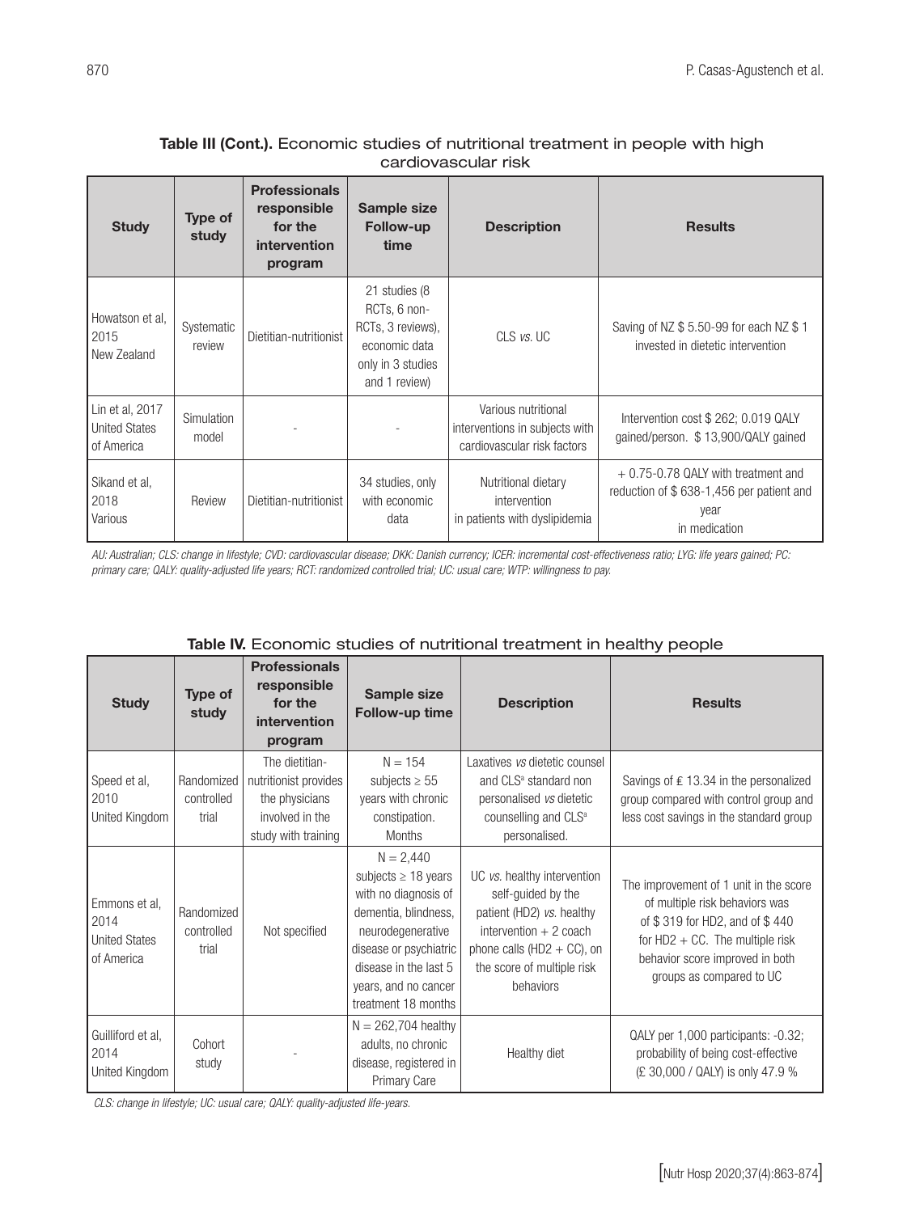| <u>uaruruvasuurar risn</u>                     |                         |                                                                                  |                                                                                                           |                                                                                      |                                                                                                            |  |  |
|------------------------------------------------|-------------------------|----------------------------------------------------------------------------------|-----------------------------------------------------------------------------------------------------------|--------------------------------------------------------------------------------------|------------------------------------------------------------------------------------------------------------|--|--|
| <b>Study</b>                                   | <b>Type of</b><br>study | <b>Professionals</b><br>responsible<br>for the<br><i>intervention</i><br>program | Sample size<br>Follow-up<br>time                                                                          | <b>Description</b>                                                                   | <b>Results</b>                                                                                             |  |  |
| Howatson et al.<br>2015<br>New Zealand         | Systematic<br>review    | Dietitian-nutritionist                                                           | 21 studies (8<br>RCTs, 6 non-<br>RCTs, 3 reviews),<br>economic data<br>only in 3 studies<br>and 1 review) | CLS vs. UC                                                                           | Saving of NZ \$ 5.50-99 for each NZ \$ 1<br>invested in dietetic intervention                              |  |  |
| Lin et al, 2017<br>United States<br>of America | Simulation<br>model     |                                                                                  |                                                                                                           | Various nutritional<br>interventions in subjects with<br>cardiovascular risk factors | Intervention cost \$ 262; 0.019 QALY<br>gained/person. \$13,900/QALY gained                                |  |  |
| Sikand et al,<br>2018<br>Various               | Review                  | Dietitian-nutritionist                                                           | 34 studies, only<br>with economic<br>data                                                                 | Nutritional dietary<br>intervention<br>in patients with dyslipidemia                 | $+$ 0.75-0.78 QALY with treatment and<br>reduction of \$638-1,456 per patient and<br>year<br>in medication |  |  |

# Table III (Cont.). Economic studies of nutritional treatment in people with high cardiovascular risk

*AU: Australian; CLS: change in lifestyle; CVD: cardiovascular disease; DKK: Danish currency; ICER: incremental cost-effectiveness ratio; LYG: life years gained; PC: primary care; QALY: quality-adjusted life years; RCT: randomized controlled trial; UC: usual care; WTP: willingness to pay.* 

| <b>Study</b>                                                | <b>Type of</b><br>study           | <b>Professionals</b><br>responsible<br>for the<br>intervention<br>program                           | Sample size<br>Follow-up time                                                                                                                                                                                  | <b>Description</b>                                                                                                                                                                 | <b>Results</b>                                                                                                                                                                                                  |
|-------------------------------------------------------------|-----------------------------------|-----------------------------------------------------------------------------------------------------|----------------------------------------------------------------------------------------------------------------------------------------------------------------------------------------------------------------|------------------------------------------------------------------------------------------------------------------------------------------------------------------------------------|-----------------------------------------------------------------------------------------------------------------------------------------------------------------------------------------------------------------|
| Speed et al,<br>2010<br>United Kingdom                      | Randomized<br>controlled<br>trial | The dietitian-<br>nutritionist provides<br>the physicians<br>involved in the<br>study with training | $N = 154$<br>subjects $\geq 55$<br>years with chronic<br>constipation.<br><b>Months</b>                                                                                                                        | Laxatives vs dietetic counsel<br>and CLS <sup>a</sup> standard non<br>personalised vs dietetic<br>counselling and CLS <sup>a</sup><br>personalised.                                | Savings of $f$ 13.34 in the personalized<br>group compared with control group and<br>less cost savings in the standard group                                                                                    |
| Emmons et al,<br>2014<br><b>United States</b><br>of America | Randomized<br>controlled<br>trial | Not specified                                                                                       | $N = 2,440$<br>subjects $\geq$ 18 years<br>with no diagnosis of<br>dementia, blindness,<br>neurodegenerative<br>disease or psychiatric<br>disease in the last 5<br>years, and no cancer<br>treatment 18 months | UC vs. healthy intervention<br>self-guided by the<br>patient (HD2) vs. healthy<br>intervention $+2$ coach<br>phone calls (HD2 + CC), on<br>the score of multiple risk<br>behaviors | The improvement of 1 unit in the score<br>of multiple risk behaviors was<br>of \$319 for HD2, and of \$440<br>for $HD2 + CC$ . The multiple risk<br>behavior score improved in both<br>groups as compared to UC |
| Guilliford et al,<br>2014<br>United Kingdom                 | Cohort<br>study                   |                                                                                                     | $N = 262,704$ healthy<br>adults, no chronic<br>disease, registered in<br><b>Primary Care</b>                                                                                                                   | Healthy diet                                                                                                                                                                       | QALY per 1,000 participants: -0.32;<br>probability of being cost-effective<br>(£30,000 / QALY) is only 47.9 %                                                                                                   |

# Table IV. Economic studies of nutritional treatment in healthy people

*CLS: change in lifestyle; UC: usual care; QALY: quality-adjusted life-years.*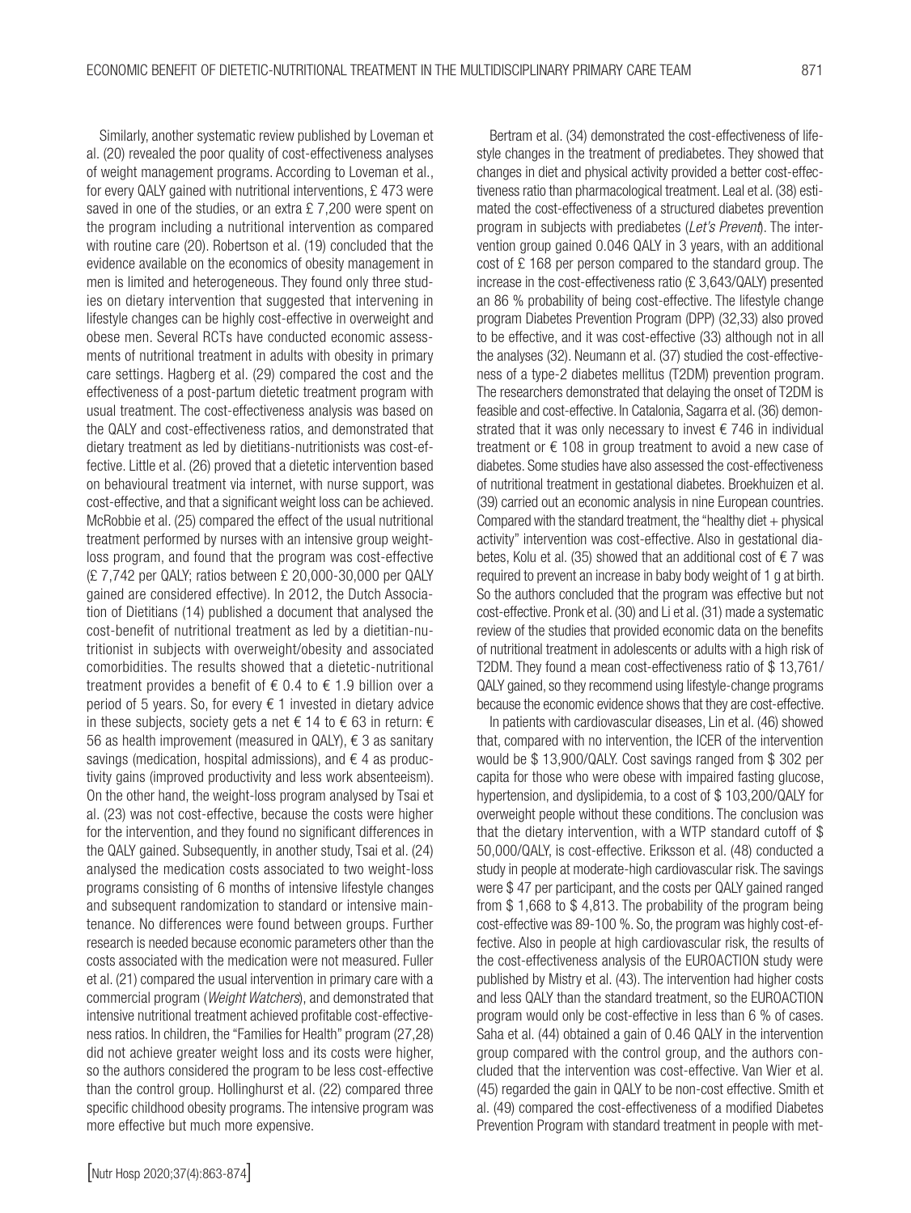Similarly, another systematic review published by Loveman et al. (20) revealed the poor quality of cost-effectiveness analyses of weight management programs. According to Loveman et al., for every QALY gained with nutritional interventions, £ 473 were saved in one of the studies, or an extra £ 7,200 were spent on the program including a nutritional intervention as compared with routine care (20). Robertson et al. (19) concluded that the evidence available on the economics of obesity management in men is limited and heterogeneous. They found only three studies on dietary intervention that suggested that intervening in lifestyle changes can be highly cost-effective in overweight and obese men. Several RCTs have conducted economic assessments of nutritional treatment in adults with obesity in primary care settings. Hagberg et al. (29) compared the cost and the effectiveness of a post-partum dietetic treatment program with usual treatment. The cost-effectiveness analysis was based on the QALY and cost-effectiveness ratios, and demonstrated that dietary treatment as led by dietitians-nutritionists was cost-effective. Little et al. (26) proved that a dietetic intervention based on behavioural treatment via internet, with nurse support, was cost-effective, and that a significant weight loss can be achieved. McRobbie et al. (25) compared the effect of the usual nutritional treatment performed by nurses with an intensive group weightloss program, and found that the program was cost-effective (£ 7,742 per QALY; ratios between £ 20,000-30,000 per QALY gained are considered effective). In 2012, the Dutch Association of Dietitians (14) published a document that analysed the cost-benefit of nutritional treatment as led by a dietitian-nutritionist in subjects with overweight/obesity and associated comorbidities. The results showed that a dietetic-nutritional treatment provides a benefit of  $\epsilon$  0.4 to  $\epsilon$  1.9 billion over a period of 5 years. So, for every € 1 invested in dietary advice in these subjects, society gets a net € 14 to € 63 in return:  $\epsilon$ 56 as health improvement (measured in QALY),  $\epsilon$  3 as sanitary savings (medication, hospital admissions), and  $\epsilon$  4 as productivity gains (improved productivity and less work absenteeism). On the other hand, the weight-loss program analysed by Tsai et al. (23) was not cost-effective, because the costs were higher for the intervention, and they found no significant differences in the QALY gained. Subsequently, in another study, Tsai et al. (24) analysed the medication costs associated to two weight-loss programs consisting of 6 months of intensive lifestyle changes and subsequent randomization to standard or intensive maintenance. No differences were found between groups. Further research is needed because economic parameters other than the costs associated with the medication were not measured. Fuller et al. (21) compared the usual intervention in primary care with a commercial program (*Weight Watchers*), and demonstrated that intensive nutritional treatment achieved profitable cost-effectiveness ratios. In children, the "Families for Health" program (27,28) did not achieve greater weight loss and its costs were higher, so the authors considered the program to be less cost-effective than the control group. Hollinghurst et al. (22) compared three specific childhood obesity programs. The intensive program was more effective but much more expensive.

Bertram et al. (34) demonstrated the cost-effectiveness of lifestyle changes in the treatment of prediabetes. They showed that changes in diet and physical activity provided a better cost-effectiveness ratio than pharmacological treatment. Leal et al. (38) estimated the cost-effectiveness of a structured diabetes prevention program in subjects with prediabetes (*Let's Prevent*). The intervention group gained 0.046 QALY in 3 years, with an additional cost of £ 168 per person compared to the standard group. The increase in the cost-effectiveness ratio (£ 3,643/QALY) presented an 86 % probability of being cost-effective. The lifestyle change program Diabetes Prevention Program (DPP) (32,33) also proved to be effective, and it was cost-effective (33) although not in all the analyses (32). Neumann et al. (37) studied the cost-effectiveness of a type-2 diabetes mellitus (T2DM) prevention program. The researchers demonstrated that delaying the onset of T2DM is feasible and cost-effective. In Catalonia, Sagarra et al. (36) demonstrated that it was only necessary to invest  $\epsilon$  746 in individual treatment or € 108 in group treatment to avoid a new case of diabetes. Some studies have also assessed the cost-effectiveness of nutritional treatment in gestational diabetes. Broekhuizen et al. (39) carried out an economic analysis in nine European countries. Compared with the standard treatment, the "healthy diet  $+$  physical activity" intervention was cost-effective. Also in gestational diabetes, Kolu et al. (35) showed that an additional cost of  $\epsilon$  7 was required to prevent an increase in baby body weight of 1 g at birth. So the authors concluded that the program was effective but not cost-effective. Pronk et al. (30) and Li et al. (31) made a systematic review of the studies that provided economic data on the benefits of nutritional treatment in adolescents or adults with a high risk of T2DM. They found a mean cost-effectiveness ratio of \$ 13,761/ QALY gained, so they recommend using lifestyle-change programs because the economic evidence shows that they are cost-effective.

In patients with cardiovascular diseases, Lin et al. (46) showed that, compared with no intervention, the ICER of the intervention would be \$ 13,900/QALY. Cost savings ranged from \$ 302 per capita for those who were obese with impaired fasting glucose, hypertension, and dyslipidemia, to a cost of \$ 103,200/QALY for overweight people without these conditions. The conclusion was that the dietary intervention, with a WTP standard cutoff of \$ 50,000/QALY, is cost-effective. Eriksson et al. (48) conducted a study in people at moderate-high cardiovascular risk. The savings were \$ 47 per participant, and the costs per QALY gained ranged from \$ 1,668 to \$ 4,813. The probability of the program being cost-effective was 89-100 %. So, the program was highly cost-effective. Also in people at high cardiovascular risk, the results of the cost-effectiveness analysis of the EUROACTION study were published by Mistry et al. (43). The intervention had higher costs and less QALY than the standard treatment, so the EUROACTION program would only be cost-effective in less than 6 % of cases. Saha et al. (44) obtained a gain of 0.46 QALY in the intervention group compared with the control group, and the authors concluded that the intervention was cost-effective. Van Wier et al. (45) regarded the gain in QALY to be non-cost effective. Smith et al. (49) compared the cost-effectiveness of a modified Diabetes Prevention Program with standard treatment in people with met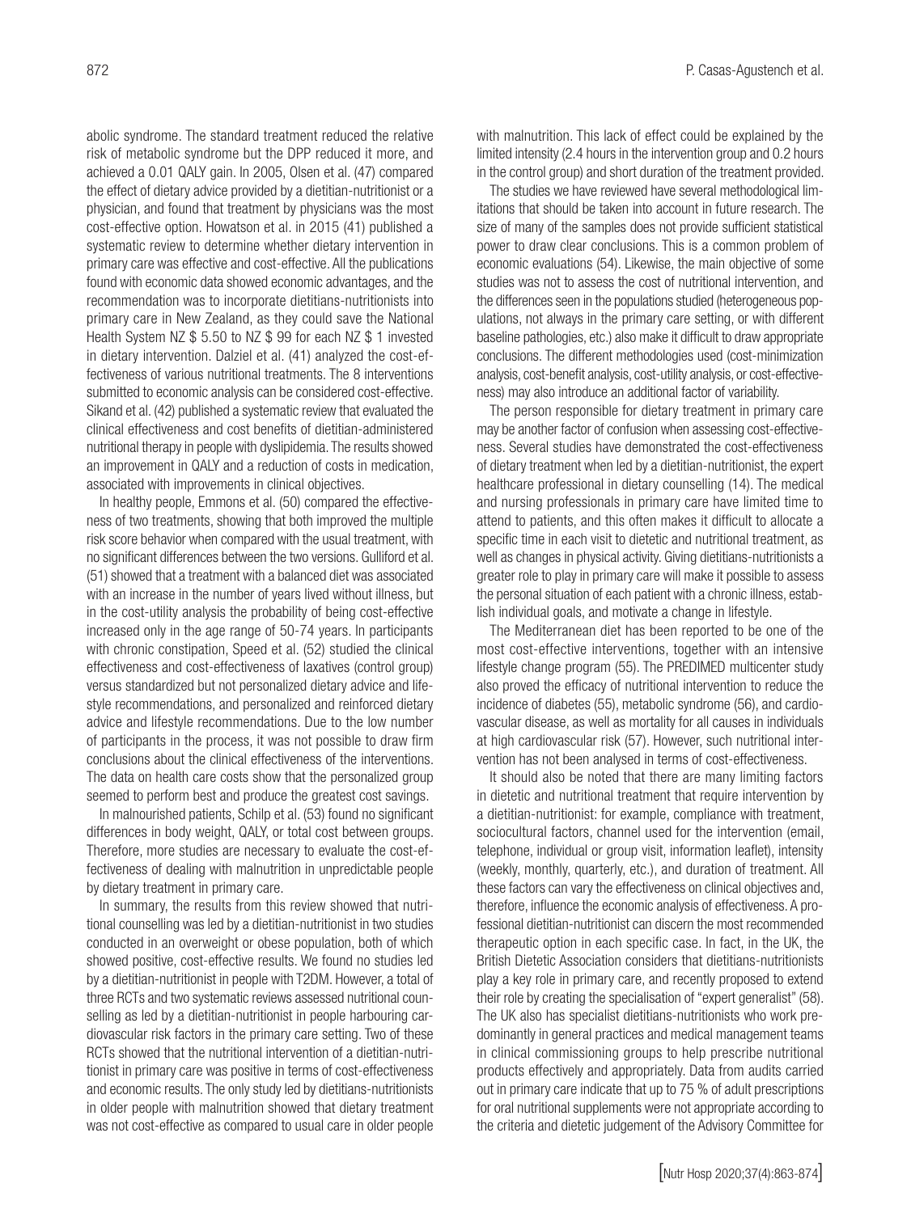abolic syndrome. The standard treatment reduced the relative risk of metabolic syndrome but the DPP reduced it more, and achieved a 0.01 QALY gain. In 2005, Olsen et al. (47) compared the effect of dietary advice provided by a dietitian-nutritionist or a physician, and found that treatment by physicians was the most cost-effective option. Howatson et al. in 2015 (41) published a systematic review to determine whether dietary intervention in primary care was effective and cost-effective. All the publications found with economic data showed economic advantages, and the recommendation was to incorporate dietitians-nutritionists into primary care in New Zealand, as they could save the National Health System NZ \$ 5.50 to NZ \$ 99 for each NZ \$ 1 invested in dietary intervention. Dalziel et al. (41) analyzed the cost-effectiveness of various nutritional treatments. The 8 interventions submitted to economic analysis can be considered cost-effective. Sikand et al. (42) published a systematic review that evaluated the clinical effectiveness and cost benefits of dietitian-administered nutritional therapy in people with dyslipidemia. The results showed an improvement in QALY and a reduction of costs in medication, associated with improvements in clinical objectives.

In healthy people, Emmons et al. (50) compared the effectiveness of two treatments, showing that both improved the multiple risk score behavior when compared with the usual treatment, with no significant differences between the two versions. Gulliford et al. (51) showed that a treatment with a balanced diet was associated with an increase in the number of years lived without illness, but in the cost-utility analysis the probability of being cost-effective increased only in the age range of 50-74 years. In participants with chronic constipation, Speed et al. (52) studied the clinical effectiveness and cost-effectiveness of laxatives (control group) versus standardized but not personalized dietary advice and lifestyle recommendations, and personalized and reinforced dietary advice and lifestyle recommendations. Due to the low number of participants in the process, it was not possible to draw firm conclusions about the clinical effectiveness of the interventions. The data on health care costs show that the personalized group seemed to perform best and produce the greatest cost savings.

In malnourished patients, Schilp et al. (53) found no significant differences in body weight, QALY, or total cost between groups. Therefore, more studies are necessary to evaluate the cost-effectiveness of dealing with malnutrition in unpredictable people by dietary treatment in primary care.

In summary, the results from this review showed that nutritional counselling was led by a dietitian-nutritionist in two studies conducted in an overweight or obese population, both of which showed positive, cost-effective results. We found no studies led by a dietitian-nutritionist in people with T2DM. However, a total of three RCTs and two systematic reviews assessed nutritional counselling as led by a dietitian-nutritionist in people harbouring cardiovascular risk factors in the primary care setting. Two of these RCTs showed that the nutritional intervention of a dietitian-nutritionist in primary care was positive in terms of cost-effectiveness and economic results. The only study led by dietitians-nutritionists in older people with malnutrition showed that dietary treatment was not cost-effective as compared to usual care in older people with malnutrition. This lack of effect could be explained by the limited intensity (2.4 hours in the intervention group and 0.2 hours in the control group) and short duration of the treatment provided.

The studies we have reviewed have several methodological limitations that should be taken into account in future research. The size of many of the samples does not provide sufficient statistical power to draw clear conclusions. This is a common problem of economic evaluations (54). Likewise, the main objective of some studies was not to assess the cost of nutritional intervention, and the differences seen in the populations studied (heterogeneous populations, not always in the primary care setting, or with different baseline pathologies, etc.) also make it difficult to draw appropriate conclusions. The different methodologies used (cost-minimization analysis, cost-benefit analysis, cost-utility analysis, or cost-effectiveness) may also introduce an additional factor of variability.

The person responsible for dietary treatment in primary care may be another factor of confusion when assessing cost-effectiveness. Several studies have demonstrated the cost-effectiveness of dietary treatment when led by a dietitian-nutritionist, the expert healthcare professional in dietary counselling (14). The medical and nursing professionals in primary care have limited time to attend to patients, and this often makes it difficult to allocate a specific time in each visit to dietetic and nutritional treatment, as well as changes in physical activity. Giving dietitians-nutritionists a greater role to play in primary care will make it possible to assess the personal situation of each patient with a chronic illness, establish individual goals, and motivate a change in lifestyle.

The Mediterranean diet has been reported to be one of the most cost-effective interventions, together with an intensive lifestyle change program (55). The PREDIMED multicenter study also proved the efficacy of nutritional intervention to reduce the incidence of diabetes (55), metabolic syndrome (56), and cardiovascular disease, as well as mortality for all causes in individuals at high cardiovascular risk (57). However, such nutritional intervention has not been analysed in terms of cost-effectiveness.

It should also be noted that there are many limiting factors in dietetic and nutritional treatment that require intervention by a dietitian-nutritionist: for example, compliance with treatment, sociocultural factors, channel used for the intervention (email, telephone, individual or group visit, information leaflet), intensity (weekly, monthly, quarterly, etc.), and duration of treatment. All these factors can vary the effectiveness on clinical objectives and, therefore, influence the economic analysis of effectiveness. A professional dietitian-nutritionist can discern the most recommended therapeutic option in each specific case. In fact, in the UK, the British Dietetic Association considers that dietitians-nutritionists play a key role in primary care, and recently proposed to extend their role by creating the specialisation of "expert generalist" (58). The UK also has specialist dietitians-nutritionists who work predominantly in general practices and medical management teams in clinical commissioning groups to help prescribe nutritional products effectively and appropriately. Data from audits carried out in primary care indicate that up to 75 % of adult prescriptions for oral nutritional supplements were not appropriate according to the criteria and dietetic judgement of the Advisory Committee for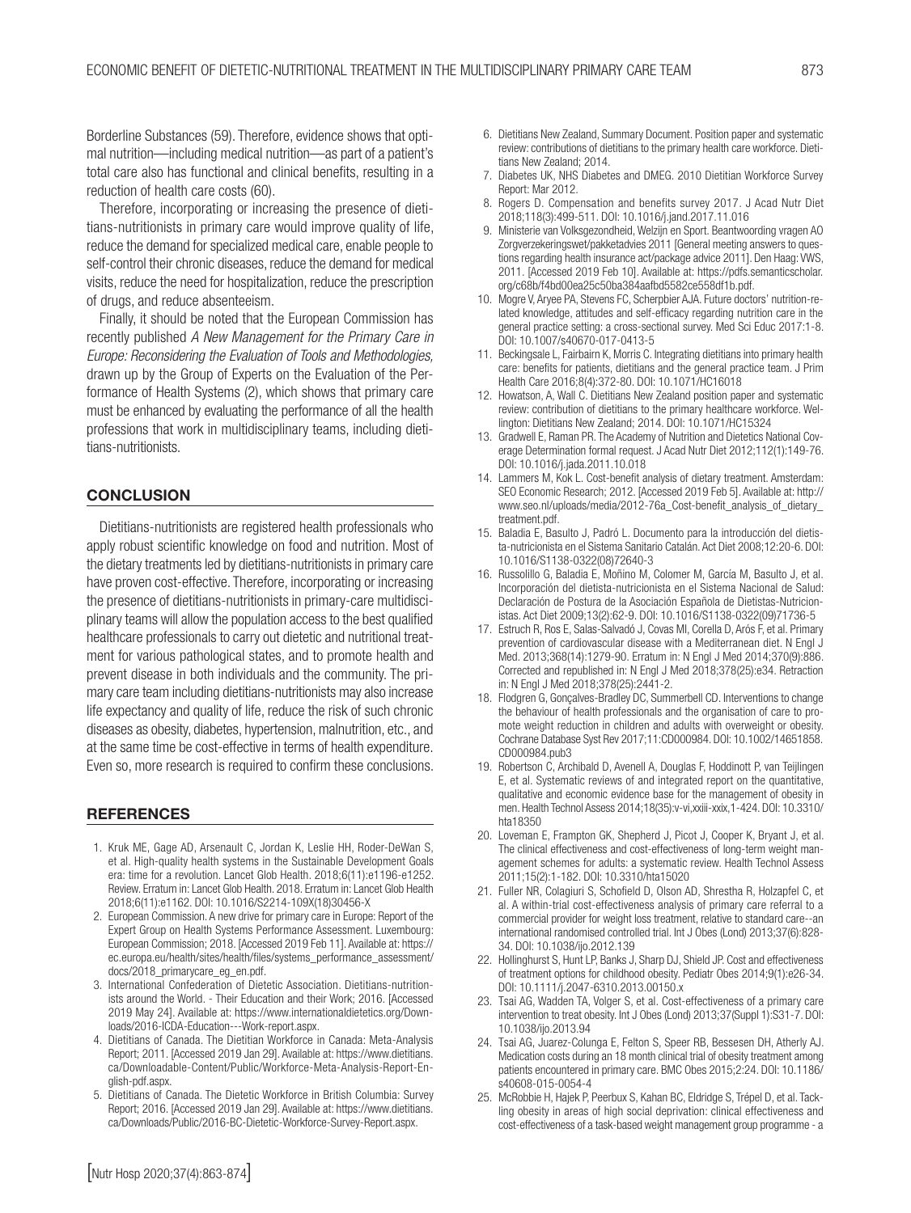Borderline Substances (59). Therefore, evidence shows that optimal nutrition—including medical nutrition—as part of a patient's total care also has functional and clinical benefits, resulting in a reduction of health care costs (60).

Therefore, incorporating or increasing the presence of dietitians-nutritionists in primary care would improve quality of life, reduce the demand for specialized medical care, enable people to self-control their chronic diseases, reduce the demand for medical visits, reduce the need for hospitalization, reduce the prescription of drugs, and reduce absenteeism.

Finally, it should be noted that the European Commission has recently published *A New Management for the Primary Care in Europe: Reconsidering the Evaluation of Tools and Methodologies,* drawn up by the Group of Experts on the Evaluation of the Performance of Health Systems (2), which shows that primary care must be enhanced by evaluating the performance of all the health professions that work in multidisciplinary teams, including dietitians-nutritionists.

### **CONCLUSION**

Dietitians-nutritionists are registered health professionals who apply robust scientific knowledge on food and nutrition. Most of the dietary treatments led by dietitians-nutritionists in primary care have proven cost-effective. Therefore, incorporating or increasing the presence of dietitians-nutritionists in primary-care multidisciplinary teams will allow the population access to the best qualified healthcare professionals to carry out dietetic and nutritional treatment for various pathological states, and to promote health and prevent disease in both individuals and the community. The primary care team including dietitians-nutritionists may also increase life expectancy and quality of life, reduce the risk of such chronic diseases as obesity, diabetes, hypertension, malnutrition, etc., and at the same time be cost-effective in terms of health expenditure. Even so, more research is required to confirm these conclusions.

#### REFERENCES

- 1. Kruk ME, Gage AD, Arsenault C, Jordan K, Leslie HH, Roder-DeWan S, et al. High-quality health systems in the Sustainable Development Goals era: time for a revolution. Lancet Glob Health. 2018;6(11):e1196-e1252. Review. Erratum in: Lancet Glob Health. 2018. Erratum in: Lancet Glob Health 2018;6(11):e1162. DOI: 10.1016/S2214-109X(18)30456-X
- 2. European Commission. A new drive for primary care in Europe: Report of the Expert Group on Health Systems Performance Assessment. Luxembourg: European Commission; 2018. [Accessed 2019 Feb 11]. Available at: https:// ec.europa.eu/health/sites/health/files/systems\_performance\_assessment/ docs/2018\_primarycare\_eg\_en.pdf.
- 3. International Confederation of Dietetic Association. Dietitians-nutritionists around the World. - Their Education and their Work; 2016. [Accessed 2019 May 24]. Available at: https://www.internationaldietetics.org/Downloads/2016-ICDA-Education---Work-report.aspx.
- 4. Dietitians of Canada. The Dietitian Workforce in Canada: Meta-Analysis Report; 2011. [Accessed 2019 Jan 29]. Available at: https://www.dietitians. ca/Downloadable-Content/Public/Workforce-Meta-Analysis-Report-English-pdf.aspx.
- 5. Dietitians of Canada. The Dietetic Workforce in British Columbia: Survey Report; 2016. [Accessed 2019 Jan 29]. Available at: https://www.dietitians. ca/Downloads/Public/2016-BC-Dietetic-Workforce-Survey-Report.aspx.
- 6. Dietitians New Zealand, Summary Document. Position paper and systematic review: contributions of dietitians to the primary health care workforce. Dietitians New Zealand; 2014.
- 7. Diabetes UK, NHS Diabetes and DMEG. 2010 Dietitian Workforce Survey Report: Mar 2012.
- 8. Rogers D. Compensation and benefits survey 2017. J Acad Nutr Diet 2018;118(3):499-511. DOI: 10.1016/j.jand.2017.11.016
- 9. Ministerie van Volksgezondheid, Welzijn en Sport. Beantwoording vragen AO Zorgverzekeringswet/pakketadvies 2011 [General meeting answers to questions regarding health insurance act/package advice 2011]. Den Haag: VWS, 2011. [Accessed 2019 Feb 10]. Available at: https://pdfs.semanticscholar. org/c68b/f4bd00ea25c50ba384aafbd5582ce558df1b.pdf.
- 10. Mogre V, Aryee PA, Stevens FC, Scherpbier AJA. Future doctors' nutrition-related knowledge, attitudes and self-efficacy regarding nutrition care in the general practice setting: a cross-sectional survey. Med Sci Educ 2017:1-8. DOI: 10.1007/s40670-017-0413-5
- 11. Beckingsale L, Fairbairn K, Morris C. Integrating dietitians into primary health care: benefits for patients, dietitians and the general practice team. J Prim Health Care 2016;8(4):372-80. DOI: 10.1071/HC16018
- 12. Howatson, A, Wall C. Dietitians New Zealand position paper and systematic review: contribution of dietitians to the primary healthcare workforce. Wellington: Dietitians New Zealand; 2014. DOI: 10.1071/HC15324
- 13. Gradwell E, Raman PR. The Academy of Nutrition and Dietetics National Coverage Determination formal request. J Acad Nutr Diet 2012;112(1):149-76. DOI: 10.1016/j.jada.2011.10.018
- 14. Lammers M, Kok L. Cost-benefit analysis of dietary treatment. Amsterdam: SEO Economic Research; 2012. [Accessed 2019 Feb 5]. Available at: http:// www.seo.nl/uploads/media/2012-76a\_Cost-benefit\_analysis\_of\_dietary treatment.pdf.
- 15. Baladia E, Basulto J, Padró L. Documento para la introducción del dietista-nutricionista en el Sistema Sanitario Catalán. Act Diet 2008;12:20-6. DOI: 10.1016/S1138-0322(08)72640-3
- 16. Russolillo G, Baladia E, Moñino M, Colomer M, García M, Basulto J, et al. Incorporación del dietista-nutricionista en el Sistema Nacional de Salud: Declaración de Postura de la Asociación Española de Dietistas-Nutricionistas. Act Diet 2009;13(2):62-9. DOI: 10.1016/S1138-0322(09)71736-5
- 17. Estruch R, Ros E, Salas-Salvadó J, Covas MI, Corella D, Arós F, et al. Primary prevention of cardiovascular disease with a Mediterranean diet. N Engl J Med. 2013;368(14):1279-90. Erratum in: N Engl J Med 2014;370(9):886. Corrected and republished in: N Engl J Med 2018;378(25):e34. Retraction in: N Engl J Med 2018;378(25):2441-2.
- 18. Flodgren G, Gonçalves-Bradley DC, Summerbell CD. Interventions to change the behaviour of health professionals and the organisation of care to promote weight reduction in children and adults with overweight or obesity. Cochrane Database Syst Rev 2017;11:CD000984. DOI: 10.1002/14651858. CD000984.pub3
- 19. Robertson C, Archibald D, Avenell A, Douglas F, Hoddinott P, van Teijlingen E, et al. Systematic reviews of and integrated report on the quantitative, qualitative and economic evidence base for the management of obesity in men. Health Technol Assess 2014;18(35):v-vi,xxiii-xxix,1-424. DOI: 10.3310/ hta18350
- 20. Loveman E, Frampton GK, Shepherd J, Picot J, Cooper K, Bryant J, et al. The clinical effectiveness and cost-effectiveness of long-term weight management schemes for adults: a systematic review. Health Technol Assess 2011;15(2):1-182. DOI: 10.3310/hta15020
- 21. Fuller NR, Colagiuri S, Schofield D, Olson AD, Shrestha R, Holzapfel C, et al. A within-trial cost-effectiveness analysis of primary care referral to a commercial provider for weight loss treatment, relative to standard care--an international randomised controlled trial. Int J Obes (Lond) 2013;37(6):828- 34. DOI: 10.1038/ijo.2012.139
- 22. Hollinghurst S, Hunt LP, Banks J, Sharp DJ, Shield JP. Cost and effectiveness of treatment options for childhood obesity. Pediatr Obes 2014;9(1):e26-34. DOI: 10.1111/j.2047-6310.2013.00150.x
- 23. Tsai AG, Wadden TA, Volger S, et al. Cost-effectiveness of a primary care intervention to treat obesity. Int J Obes (Lond) 2013;37(Suppl 1):S31-7. DOI: 10.1038/ijo.2013.94
- 24. Tsai AG, Juarez-Colunga E, Felton S, Speer RB, Bessesen DH, Atherly AJ. Medication costs during an 18 month clinical trial of obesity treatment among patients encountered in primary care. BMC Obes 2015;2:24. DOI: 10.1186/ s40608-015-0054-4
- 25. McRobbie H, Hajek P, Peerbux S, Kahan BC, Eldridge S, Trépel D, et al. Tackling obesity in areas of high social deprivation: clinical effectiveness and cost-effectiveness of a task-based weight management group programme - a